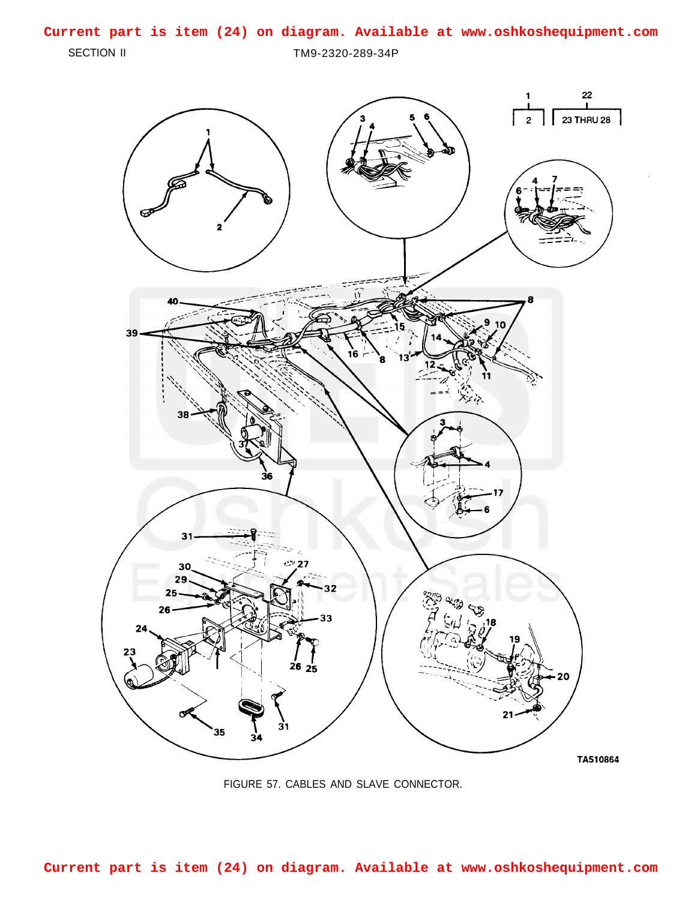## **Current part is item (24) on diagram. Available at www.oshkoshequipment.com**

SECTION II TM9-2320-289-34P



FIGURE 57. CABLES AND SLAVE CONNECTOR.